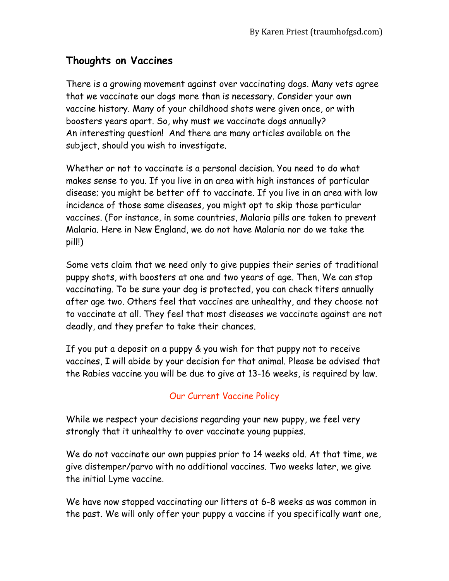## **Thoughts on Vaccines**

There is a growing movement against over vaccinating dogs. Many vets agree that we vaccinate our dogs more than is necessary. Consider your own vaccine history. Many of your childhood shots were given once, or with boosters years apart. So, why must we vaccinate dogs annually? An interesting question! And there are many articles available on the subject, should you wish to investigate.

Whether or not to vaccinate is a personal decision. You need to do what makes sense to you. If you live in an area with high instances of particular disease; you might be better off to vaccinate. If you live in an area with low incidence of those same diseases, you might opt to skip those particular vaccines. (For instance, in some countries, Malaria pills are taken to prevent Malaria. Here in New England, we do not have Malaria nor do we take the pill!)

Some vets claim that we need only to give puppies their series of traditional puppy shots, with boosters at one and two years of age. Then, We can stop vaccinating. To be sure your dog is protected, you can check titers annually after age two. Others feel that vaccines are unhealthy, and they choose not to vaccinate at all. They feel that most diseases we vaccinate against are not deadly, and they prefer to take their chances.

If you put a deposit on a puppy & you wish for that puppy not to receive vaccines, I will abide by your decision for that animal. Please be advised that the Rabies vaccine you will be due to give at 13-16 weeks, is required by law.

## Our Current Vaccine Policy

While we respect your decisions regarding your new puppy, we feel very strongly that it unhealthy to over vaccinate young puppies.

We do not vaccinate our own puppies prior to 14 weeks old. At that time, we give distemper/parvo with no additional vaccines. Two weeks later, we give the initial Lyme vaccine.

We have now stopped vaccinating our litters at 6-8 weeks as was common in the past. We will only offer your puppy a vaccine if you specifically want one,